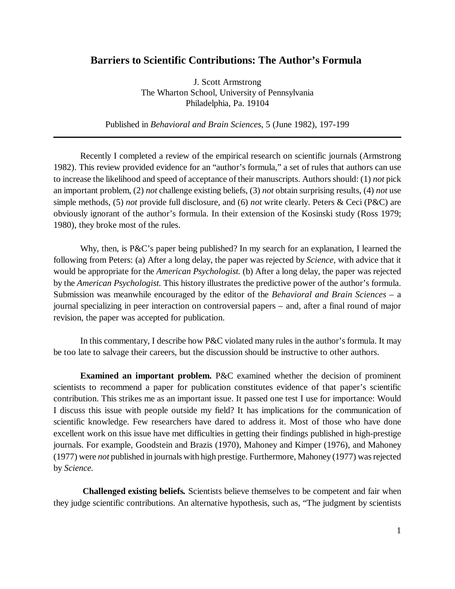## **Barriers to Scientific Contributions: The Author's Formula**

J. Scott Armstrong The Wharton School, University of Pennsylvania Philadelphia, Pa. 19104

Published in *Behavioral and Brain Sciences*, 5 (June 1982), 197-199

Recently I completed a review of the empirical research on scientific journals (Armstrong 1982). This review provided evidence for an "author's formula," a set of rules that authors can use to increase the likelihood and speed of acceptance of their manuscripts. Authors should: (1) *not* pick an important problem, (2) *not* challenge existing beliefs, (3) *not* obtain surprising results, (4) *not* use simple methods, (5) *not* provide full disclosure, and (6) *not* write clearly. Peters & Ceci (P&C) are obviously ignorant of the author's formula. In their extension of the Kosinski study (Ross 1979; 1980), they broke most of the rules.

Why, then, is P&C's paper being published? In my search for an explanation, I learned the following from Peters: (a) After a long delay, the paper was rejected by *Science,* with advice that it would be appropriate for the *American Psychologist.* (b) After a long delay, the paper was rejected by the *American Psychologist.* This history illustrates the predictive power of the author's formula. Submission was meanwhile encouraged by the editor of the *Behavioral and Brain Sciences –* a journal specializing in peer interaction on controversial papers – and, after a final round of major revision, the paper was accepted for publication.

In this commentary, I describe how P&C violated many rules in the author's formula. It may be too late to salvage their careers, but the discussion should be instructive to other authors.

**Examined an important problem.** P&C examined whether the decision of prominent scientists to recommend a paper for publication constitutes evidence of that paper's scientific contribution. This strikes me as an important issue. It passed one test I use for importance: Would I discuss this issue with people outside my field? It has implications for the communication of scientific knowledge. Few researchers have dared to address it. Most of those who have done excellent work on this issue have met difficulties in getting their findings published in high-prestige journals. For example, Goodstein and Brazis (1970), Mahoney and Kimper (1976), and Mahoney (1977) were *not* published in journals with high prestige. Furthermore, Mahoney (1977) was rejected by *Science.*

**Challenged existing beliefs***.* Scientists believe themselves to be competent and fair when they judge scientific contributions. An alternative hypothesis, such as, "The judgment by scientists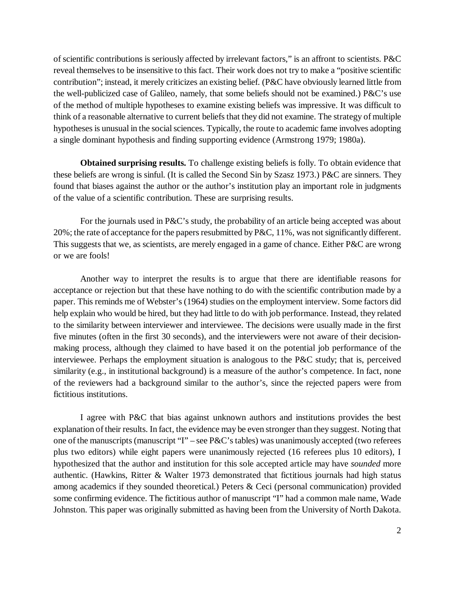of scientific contributions is seriously affected by irrelevant factors," is an affront to scientists. P&C reveal themselves to be insensitive to this fact. Their work does not try to make a "positive scientific contribution"; instead, it merely criticizes an existing belief. (P&C have obviously learned little from the well-publicized case of Galileo, namely, that some beliefs should not be examined.) P&C's use of the method of multiple hypotheses to examine existing beliefs was impressive. It was difficult to think of a reasonable alternative to current beliefs that they did not examine. The strategy of multiple hypotheses is unusual in the social sciences. Typically, the route to academic fame involves adopting a single dominant hypothesis and finding supporting evidence (Armstrong 1979; 1980a).

**Obtained surprising results.** To challenge existing beliefs is folly. To obtain evidence that these beliefs are wrong is sinful. (It is called the Second Sin by Szasz 1973.) P&C are sinners. They found that biases against the author or the author's institution play an important role in judgments of the value of a scientific contribution. These are surprising results.

For the journals used in P&C's study, the probability of an article being accepted was about 20%; the rate of acceptance for the papers resubmitted by P&C, 11%, was not significantly different. This suggests that we, as scientists, are merely engaged in a game of chance. Either P&C are wrong or we are fools!

Another way to interpret the results is to argue that there are identifiable reasons for acceptance or rejection but that these have nothing to do with the scientific contribution made by a paper. This reminds me of Webster's (1964) studies on the employment interview. Some factors did help explain who would be hired, but they had little to do with job performance. Instead, they related to the similarity between interviewer and interviewee. The decisions were usually made in the first five minutes (often in the first 30 seconds), and the interviewers were not aware of their decisionmaking process, although they claimed to have based it on the potential job performance of the interviewee. Perhaps the employment situation is analogous to the P&C study; that is, perceived similarity (e.g., in institutional background) is a measure of the author's competence. In fact, none of the reviewers had a background similar to the author's, since the rejected papers were from fictitious institutions.

I agree with P&C that bias against unknown authors and institutions provides the best explanation of their results. In fact, the evidence may be even stronger than they suggest. Noting that one of the manuscripts (manuscript "I" – see P&C's tables) was unanimously accepted (two referees plus two editors) while eight papers were unanimously rejected (16 referees plus 10 editors), I hypothesized that the author and institution for this sole accepted article may have *sounded* more authentic. (Hawkins, Ritter & Walter 1973 demonstrated that fictitious journals had high status among academics if they sounded theoretical.) Peters & Ceci (personal communication) provided some confirming evidence. The fictitious author of manuscript "I" had a common male name, Wade Johnston. This paper was originally submitted as having been from the University of North Dakota.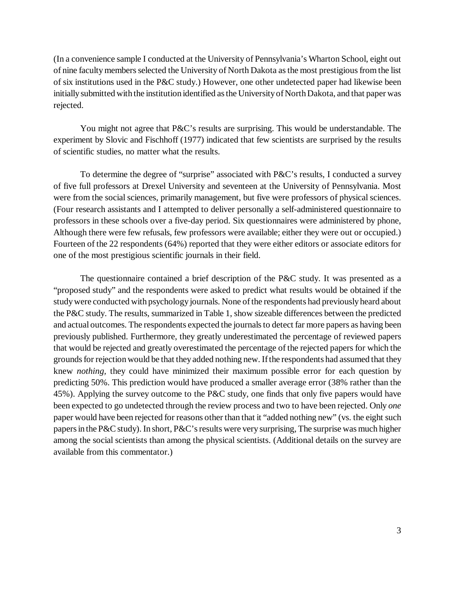(In a convenience sample I conducted at the University of Pennsylvania's Wharton School, eight out of nine faculty members selected the University of North Dakota as the most prestigious from the list of six institutions used in the P&C study.) However, one other undetected paper had likewise been initially submitted with the institution identified as the University of North Dakota, and that paper was rejected.

You might not agree that P&C's results are surprising. This would be understandable. The experiment by Slovic and Fischhoff (1977) indicated that few scientists are surprised by the results of scientific studies, no matter what the results.

To determine the degree of "surprise" associated with P&C's results, I conducted a survey of five full professors at Drexel University and seventeen at the University of Pennsylvania. Most were from the social sciences, primarily management, but five were professors of physical sciences. (Four research assistants and I attempted to deliver personally a self-administered questionnaire to professors in these schools over a five-day period. Six questionnaires were administered by phone, Although there were few refusals, few professors were available; either they were out or occupied.) Fourteen of the 22 respondents (64%) reported that they were either editors or associate editors for one of the most prestigious scientific journals in their field.

The questionnaire contained a brief description of the P&C study. It was presented as a "proposed study" and the respondents were asked to predict what results would be obtained if the study were conducted with psychology journals. None of the respondents had previously heard about the P&C study. The results, summarized in Table 1, show sizeable differences between the predicted and actual outcomes. The respondents expected the journals to detect far more papers as having been previously published. Furthermore, they greatly underestimated the percentage of reviewed papers that would be rejected and greatly overestimated the percentage of the rejected papers for which the grounds for rejection would be that they added nothing new. If the respondents had assumed that they knew *nothing,* they could have minimized their maximum possible error for each question by predicting 50%. This prediction would have produced a smaller average error (38% rather than the 45%). Applying the survey outcome to the P&C study, one finds that only five papers would have been expected to go undetected through the review process and two to have been rejected. Only *one* paper would have been rejected for reasons other than that it "added nothing new" (vs. the eight such papers in the P&C study). In short, P&C's results were very surprising, The surprise was much higher among the social scientists than among the physical scientists. (Additional details on the survey are available from this commentator.)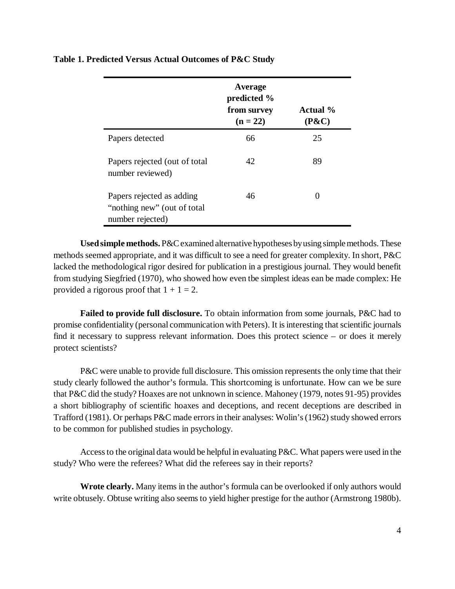|                                                                              | Average<br>predicted %<br>from survey<br>$(n = 22)$ | <b>Actual</b> %<br>$(P\&C)$ |
|------------------------------------------------------------------------------|-----------------------------------------------------|-----------------------------|
| Papers detected                                                              | 66                                                  | 25                          |
| Papers rejected (out of total<br>number reviewed)                            | 42                                                  | 89                          |
| Papers rejected as adding<br>"nothing new" (out of total<br>number rejected) | 46                                                  |                             |

**Table 1. Predicted Versus Actual Outcomes of P&C Study**

**Used simple methods.** P&C examined alternative hypotheses by using simple methods. These methods seemed appropriate, and it was difficult to see a need for greater complexity. In short, P&C lacked the methodological rigor desired for publication in a prestigious journal. They would benefit from studying Siegfried (1970), who showed how even tbe simplest ideas ean be made complex: He provided a rigorous proof that  $1 + 1 = 2$ .

**Failed to provide full disclosure.** To obtain information from some journals, P&C had to promise confidentiality (personal communication with Peters). It is interesting that scientific journals find it necessary to suppress relevant information. Does this protect science – or does it merely protect scientists?

P&C were unable to provide full disclosure. This omission represents the only time that their study clearly followed the author's formula. This shortcoming is unfortunate. How can we be sure that P&C did the study? Hoaxes are not unknown in science. Mahoney (1979, notes 91-95) provides a short bibliography of scientific hoaxes and deceptions, and recent deceptions are described in Trafford (1981). Or perhaps P&C made errors in their analyses: Wolin's (1962) study showed errors to be common for published studies in psychology.

Access to the original data would be helpful in evaluating P&C. What papers were used in the study? Who were the referees? What did the referees say in their reports?

**Wrote clearly.** Many items in the author's formula can be overlooked if only authors would write obtusely. Obtuse writing also seems to yield higher prestige for the author (Armstrong 1980b).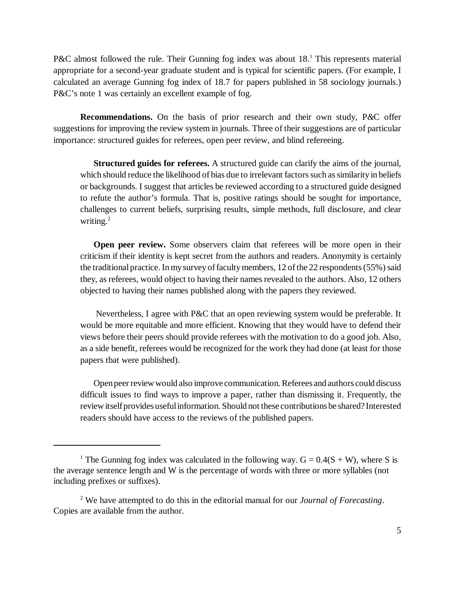P&C almost followed the rule. Their Gunning fog index was about 18.<sup>1</sup> This represents material appropriate for a second-year graduate student and is typical for scientific papers. (For example, I calculated an average Gunning fog index of 18.7 for papers published in 58 sociology journals.) P&C's note 1 was certainly an excellent example of fog.

**Recommendations.** On the basis of prior research and their own study, P*&*C offer suggestions for improving the review system in journals. Three of their suggestions are of particular importance: structured guides for referees, open peer review, and blind refereeing.

**Structured guides for referees.** A structured guide can clarify the aims of the journal, which should reduce the likelihood of bias due to irrelevant factors such as similarity in beliefs or backgrounds. I suggest that articles be reviewed according to a structured guide designed to refute the author's formula. That is, positive ratings should be sought for importance, challenges to current beliefs, surprising results, simple methods, full disclosure, and clear writing. $^{2}$ 

**Open peer review.** Some observers claim that referees will be more open in their criticism if their identity is kept secret from the authors and readers. Anonymity is certainly the traditional practice. In my survey of faculty members, 12 of the 22 respondents (55%) said they, as referees, would object to having their names revealed to the authors. Also, 12 others objected to having their names published along with the papers they reviewed.

 Nevertheless, I agree with P&C that an open reviewing system would be preferable. It would be more equitable and more efficient. Knowing that they would have to defend their views before their peers should provide referees with the motivation to do a good job. Also, as a side benefit, referees would be recognized for the work they had done (at least for those papers tbat were published).

Open peer review would also improve communication. Referees and authors could discuss difficult issues to find ways to improve a paper, rather than dismissing it. Frequently, the review itself provides useful information. Should not these contributions be shared? Interested readers should have access to the reviews of the published papers.

<sup>&</sup>lt;sup>1</sup> The Gunning fog index was calculated in the following way.  $G = 0.4(S + W)$ , where S is the average sentence length and W is the percentage of words with three or more syllables (not including prefixes or suffixes).

<sup>2</sup> We have attempted to do this in the editorial manual for our *Journal of Forecasting*. Copies are available from the author.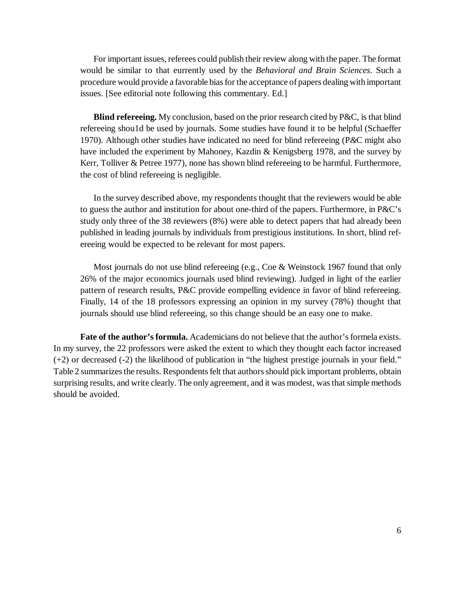For important issues, referees could publish their review along with the paper. The format would be similar to that eurrently used by the *Behavioral and Brain Sciences*. Such a procedure would provide a favorable bias for the acceptance of papers dealing with important issues. [See editorial note following this commentary. Ed.]

**Blind refereeing.** My conclusion, based on the prior research cited by P&C, is that blind refereeing shou1d be used by journals. Some studies have found it to be helpful (Schaeffer 1970). Although other studies have indicated no need for blind refereeing (P*&*C might also have included the experiment by Mahoney, Kazdin & Kenigsberg 1978, and the survey by Kerr, Tolliver & Petree 1977), none has shown blind refereeing to be harmful. Furthermore, the cost of blind refereeing is negligible.

In the survey described above, my respondents thought that the reviewers would be able to guess the author and institution for about one-third of the papers. Furthermore, in P&C's study only three of the 38 reviewers (8%) were able to detect papers that had already been published in leading journals by individuals from prestigious institutions. In short, blind refereeing would be expected to be relevant for most papers.

Most journals do not use blind refereeing (e.g., Coe & Weinstock 1967 found that only 26% of the major economics journals used blind reviewing). Judged in light of the earlier pattern of research results, P&C provide eompelling evidence in favor of blind refereeing. Finally, 14 of the 18 professors expressing an opinion in my survey (78%) thought that journals should use blind refereeing, so this change should be an easy one to make.

**Fate of the author's formula.** Academicians do not believe that the author's formela exists. In my survey, the 22 professors were asked the extent to which they thought each factor increased (+2) or decreased (-2) the likelihood of publication in "the highest prestige journals in your field." Table 2 summarizes the results. Respondents felt that authors should pick important problems, obtain surprising results, and write clearly. The only agreement, and it was modest, was that simple methods should be avoided.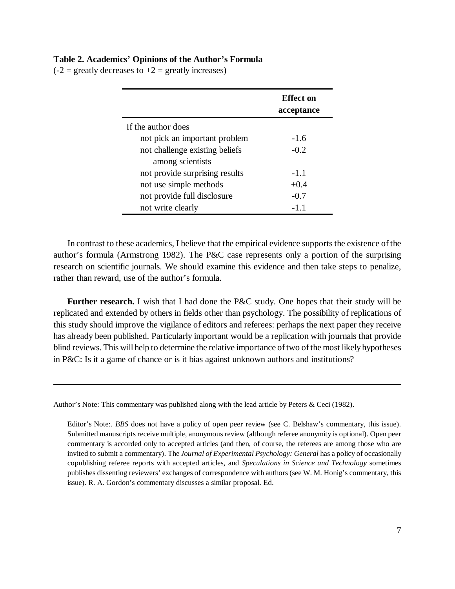## **Table 2. Academics' Opinions of the Author's Formula**

 $(-2)$  = greatly decreases to  $+2$  = greatly increases)

|                                | <b>Effect</b> on<br>acceptance |
|--------------------------------|--------------------------------|
| If the author does             |                                |
| not pick an important problem  | $-1.6$                         |
| not challenge existing beliefs | $-0.2$                         |
| among scientists               |                                |
| not provide surprising results | $-1.1$                         |
| not use simple methods         | $+0.4$                         |
| not provide full disclosure    | $-0.7$                         |
| not write clearly              | $-1.1$                         |

In contrast to these academics, I believe that the empirical evidence supports the existence of the author's formula (Armstrong 1982). The P&C case represents only a portion of the surprising research on scientific journals. We should examine this evidence and then take steps to penalize, rather than reward, use of the author's formula.

**Further research.** I wish that I had done the P&C study. One hopes that their study will be replicated and extended by others in fields other than psychology. The possibility of replications of this study should improve the vigilance of editors and referees: perhaps the next paper they receive has already been published. Particularly important would be a replication with journals that provide blind reviews. This will help to determine the relative importance of two of the most likely hypotheses in P&C: Is it a game of chance or is it bias against unknown authors and institutions?

Author's Note: This commentary was published along with the lead article by Peters & Ceci (1982).

Editor's Note:. *BBS* does not have a policy of open peer review (see C. Belshaw's commentary, this issue). Submitted manuscripts receive multiple, anonymous review (although referee anonymity is optional). Open peer commentary is accorded only to accepted articles (and then, of course, the referees are among those who are invited to submit a commentary). The *Journal of Experimental Psychology: General* has a policy of occasionally copublishing referee reports with accepted articles, and *Speculations in Science and Technology* sometimes publishes dissenting reviewers' exchanges of correspondence with authors (see W. M. Honig's commentary, this issue). R. A. Gordon's commentary discusses a similar proposal. Ed.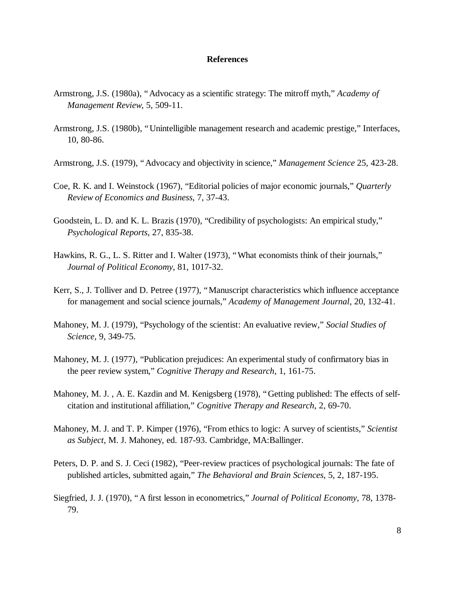## **References**

- Armstrong, J.S. (1980a), "Advocacy as a scientific strategy: The mitroff myth," *Academy of Management Review*, 5, 509-11.
- Armstrong, J.S. (1980b), "Unintelligible management research and academic prestige," Interfaces, 10, 80-86.
- Armstrong, J.S. (1979), "Advocacy and objectivity in science," *Management Science* 25, 423-28.
- Coe, R. K. and I. Weinstock (1967), "Editorial policies of major economic journals," *Quarterly Review of Economics and Business*, 7, 37-43.
- Goodstein, L. D. and K. L. Brazis (1970), "Credibility of psychologists: An empirical study," *Psychological Reports*, 27, 835-38.
- Hawkins, R. G., L. S. Ritter and I. Walter (1973), "What economists think of their journals," *Journal of Political Economy*, 81, 1017-32.
- Kerr, S., J. Tolliver and D. Petree (1977), "Manuscript characteristics which influence acceptance for management and social science journals," *Academy of Management Journal*, 20, 132-41.
- Mahoney, M. J. (1979), "Psychology of the scientist: An evaluative review," *Social Studies of Science*, 9, 349-75.
- Mahoney, M. J. (1977), "Publication prejudices: An experimental study of confirmatory bias in the peer review system," *Cognitive Therapy and Research*, 1, 161-75.
- Mahoney, M. J. , A. E. Kazdin and M. Kenigsberg (1978), "Getting published: The effects of selfcitation and institutional affiliation," *Cognitive Therapy and Research*, 2, 69-70.
- Mahoney, M. J. and T. P. Kimper (1976), "From ethics to logic: A survey of scientists," *Scientist as Subject*, M. J. Mahoney, ed. 187-93. Cambridge, MA:Ballinger.
- Peters, D. P. and S. J. Ceci (1982), "Peer-review practices of psychological journals: The fate of published articles, submitted again," *The Behavioral and Brain Sciences*, 5, 2, 187-195.
- Siegfried, J. J. (1970), "A first lesson in econometrics," *Journal of Political Economy*, 78, 1378- 79.